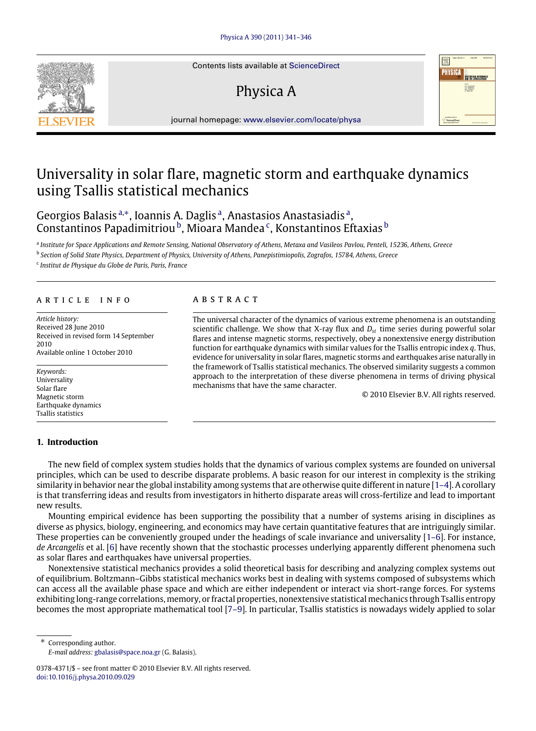Contents lists available at [ScienceDirect](http://www.elsevier.com/locate/physa)

# Physica A



journal homepage: [www.elsevier.com/locate/physa](http://www.elsevier.com/locate/physa)

## Universality in solar flare, magnetic storm and earthquake dynamics using Tsallis statistical mechanics

### Georgios Balasis<sup>[a,](#page-0-0)\*</sup>, Io[a](#page-0-0)nnis A. Daglis<sup>a</sup>, Anastasios Anastasiadis<sup>a</sup>, Constantinos Papadimitriou <sup>[b](#page-0-2)</sup>, Mioara Mandea <sup>[c](#page-0-3)</sup>, Konstantinos Eftaxias <sup>b</sup>

<span id="page-0-0"></span>a *Institute for Space Applications and Remote Sensing, National Observatory of Athens, Metaxa and Vasileos Pavlou, Penteli, 15236, Athens, Greece*

<span id="page-0-2"></span>b *Section of Solid State Physics, Department of Physics, University of Athens, Panepistimiopolis, Zografos, 15784, Athens, Greece*

<span id="page-0-3"></span>c *Institut de Physique du Globe de Paris, Paris, France*

#### A R T I C L E I N F O

*Article history:* Received 28 June 2010 Received in revised form 14 September 2010 Available online 1 October 2010

*Keywords:* Universality Solar flare Magnetic storm Earthquake dynamics Tsallis statistics

#### **1. Introduction**

#### a b s t r a c t

The universal character of the dynamics of various extreme phenomena is an outstanding scientific challenge. We show that X-ray flux and *Dst* time series during powerful solar flares and intense magnetic storms, respectively, obey a nonextensive energy distribution function for earthquake dynamics with similar values for the Tsallis entropic index *q*. Thus, evidence for universality in solar flares, magnetic storms and earthquakes arise naturally in the framework of Tsallis statistical mechanics. The observed similarity suggests a common approach to the interpretation of these diverse phenomena in terms of driving physical mechanisms that have the same character.

© 2010 Elsevier B.V. All rights reserved.

The new field of complex system studies holds that the dynamics of various complex systems are founded on universal principles, which can be used to describe disparate problems. A basic reason for our interest in complexity is the striking similarity in behavior near the global instability among systems that are otherwise quite different in nature [\[1–4\]](#page-4-0). A corollary is that transferring ideas and results from investigators in hitherto disparate areas will cross-fertilize and lead to important new results.

Mounting empirical evidence has been supporting the possibility that a number of systems arising in disciplines as diverse as physics, biology, engineering, and economics may have certain quantitative features that are intriguingly similar. These properties can be conveniently grouped under the headings of scale invariance and universality [\[1–6\]](#page-4-0). For instance, *de Arcangelis* et al. [\[6\]](#page-4-1) have recently shown that the stochastic processes underlying apparently different phenomena such as solar flares and earthquakes have universal properties.

Nonextensive statistical mechanics provides a solid theoretical basis for describing and analyzing complex systems out of equilibrium. Boltzmann–Gibbs statistical mechanics works best in dealing with systems composed of subsystems which can access all the available phase space and which are either independent or interact via short-range forces. For systems exhibiting long-range correlations, memory, or fractal properties, nonextensive statistical mechanics through Tsallis entropy becomes the most appropriate mathematical tool [\[7–9\]](#page-4-2). In particular, Tsallis statistics is nowadays widely applied to solar

<span id="page-0-1"></span>Corresponding author. *E-mail address:* [gbalasis@space.noa.gr](mailto:gbalasis@space.noa.gr) (G. Balasis).



<sup>0378-4371/\$ –</sup> see front matter © 2010 Elsevier B.V. All rights reserved. [doi:10.1016/j.physa.2010.09.029](http://dx.doi.org/10.1016/j.physa.2010.09.029)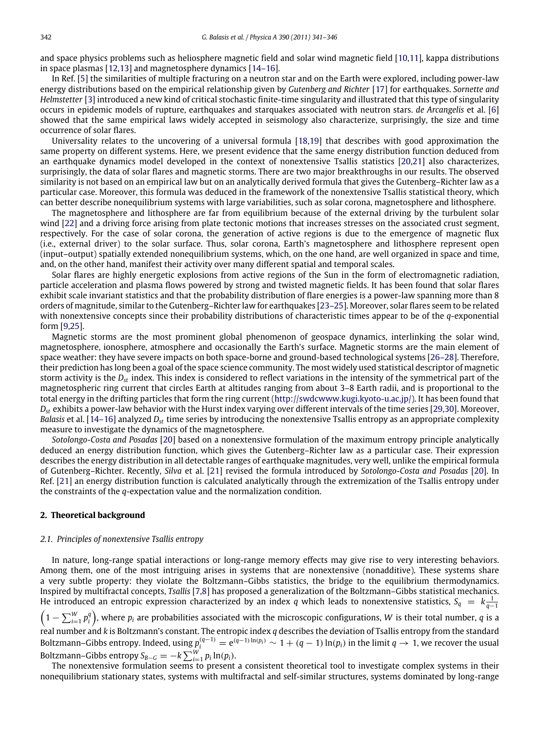and space physics problems such as heliosphere magnetic field and solar wind magnetic field [\[10,](#page-4-3)[11\]](#page-5-0), kappa distributions in space plasmas [\[12,](#page-5-1)[13\]](#page-5-2) and magnetosphere dynamics [\[14–16\]](#page-5-3).

In Ref. [\[5\]](#page-4-4) the similarities of multiple fracturing on a neutron star and on the Earth were explored, including power-law energy distributions based on the empirical relationship given by *Gutenberg and Richter* [\[17\]](#page-5-4) for earthquakes. *Sornette and Helmstetter* [\[3\]](#page-4-5) introduced a new kind of critical stochastic finite-time singularity and illustrated that this type of singularity occurs in epidemic models of rupture, earthquakes and starquakes associated with neutron stars. *de Arcangelis* et al. [\[6\]](#page-4-1) showed that the same empirical laws widely accepted in seismology also characterize, surprisingly, the size and time occurrence of solar flares.

Universality relates to the uncovering of a universal formula [\[18](#page-5-5)[,19\]](#page-5-6) that describes with good approximation the same property on different systems. Here, we present evidence that the same energy distribution function deduced from an earthquake dynamics model developed in the context of nonextensive Tsallis statistics [\[20](#page-5-7)[,21\]](#page-5-8) also characterizes, surprisingly, the data of solar flares and magnetic storms. There are two major breakthroughs in our results. The observed similarity is not based on an empirical law but on an analytically derived formula that gives the Gutenberg–Richter law as a particular case. Moreover, this formula was deduced in the framework of the nonextensive Tsallis statistical theory, which can better describe nonequilibrium systems with large variabilities, such as solar corona, magnetosphere and lithosphere.

The magnetosphere and lithosphere are far from equilibrium because of the external driving by the turbulent solar wind [\[22\]](#page-5-9) and a driving force arising from plate tectonic motions that increases stresses on the associated crust segment, respectively. For the case of solar corona, the generation of active regions is due to the emergence of magnetic flux (i.e., external driver) to the solar surface. Thus, solar corona, Earth's magnetosphere and lithosphere represent open (input–output) spatially extended nonequilibrium systems, which, on the one hand, are well organized in space and time, and, on the other hand, manifest their activity over many different spatial and temporal scales.

Solar flares are highly energetic explosions from active regions of the Sun in the form of electromagnetic radiation, particle acceleration and plasma flows powered by strong and twisted magnetic fields. It has been found that solar flares exhibit scale invariant statistics and that the probability distribution of flare energies is a power-law spanning more than 8 orders of magnitude, similar to the Gutenberg–Richter law for earthquakes [\[23–25\]](#page-5-10). Moreover, solar flares seem to be related with nonextensive concepts since their probability distributions of characteristic times appear to be of the *q*-exponential form [\[9](#page-4-6)[,25\]](#page-5-11).

Magnetic storms are the most prominent global phenomenon of geospace dynamics, interlinking the solar wind, magnetosphere, ionosphere, atmosphere and occasionally the Earth's surface. Magnetic storms are the main element of space weather: they have severe impacts on both space-borne and ground-based technological systems [\[26–28\]](#page-5-12). Therefore, their prediction has long been a goal of the space science community. The most widely used statistical descriptor of magnetic storm activity is the *Dst* index. This index is considered to reflect variations in the intensity of the symmetrical part of the magnetospheric ring current that circles Earth at altitudes ranging from about 3–8 Earth radii, and is proportional to the total energy in the drifting particles that form the ring current [\(http://swdcwww.kugi.kyoto-u.ac.jp/\)](http://swdcwww.kugi.kyoto-u.ac.jp/). It has been found that *Dst* exhibits a power-law behavior with the Hurst index varying over different intervals of the time series [\[29,](#page-5-13)[30\]](#page-5-14). Moreover, *Balasis* et al. [\[14–16\]](#page-5-3) analyzed *Dst* time series by introducing the nonextensive Tsallis entropy as an appropriate complexity measure to investigate the dynamics of the magnetosphere.

*Sotolongo-Costa and Posadas* [\[20\]](#page-5-7) based on a nonextensive formulation of the maximum entropy principle analytically deduced an energy distribution function, which gives the Gutenberg–Richter law as a particular case. Their expression describes the energy distribution in all detectable ranges of earthquake magnitudes, very well, unlike the empirical formula of Gutenberg–Richter. Recently, *Silva* et al. [\[21\]](#page-5-8) revised the formula introduced by *Sotolongo-Costa and Posadas* [\[20\]](#page-5-7). In Ref. [\[21\]](#page-5-8) an energy distribution function is calculated analytically through the extremization of the Tsallis entropy under the constraints of the *q*-expectation value and the normalization condition.

#### **2. Theoretical background**

#### *2.1. Principles of nonextensive Tsallis entropy*

In nature, long-range spatial interactions or long-range memory effects may give rise to very interesting behaviors. Among them, one of the most intriguing arises in systems that are nonextensive (nonadditive). These systems share a very subtle property: they violate the Boltzmann–Gibbs statistics, the bridge to the equilibrium thermodynamics. Inspired by multifractal concepts, *Tsallis* [\[7](#page-4-2)[,8\]](#page-4-7) has proposed a generalization of the Boltzmann–Gibbs statistical mechanics. He introduced an entropic expression characterized by an index *q* which leads to nonextensive statistics,  $S_q = k \frac{1}{q-1}$ 

 $\left(1-\sum_{i=1}^{W}p_i^q\right)$ , where  $p_i$  are probabilities associated with the microscopic configurations, *W* is their total number, *q* is a real number and *k* is Boltzmann's constant. The entropic index *q* describes the deviation of Tsallis entropy from the standard Boltzmann–Gibbs entropy. Indeed, using  $p_i^{(q-1)} = e^{(q-1)\ln(p_i)} \sim 1 + (q-1)\ln(p_i)$  in the limit  $q \to 1$ , we recover the usual Boltzmann–Gibbs entropy  $S_{B-G} = -k \sum_{i=1}^{W} p_i \ln(p_i)$ .

The nonextensive formulation seems to present a consistent theoretical tool to investigate complex systems in their nonequilibrium stationary states, systems with multifractal and self-similar structures, systems dominated by long-range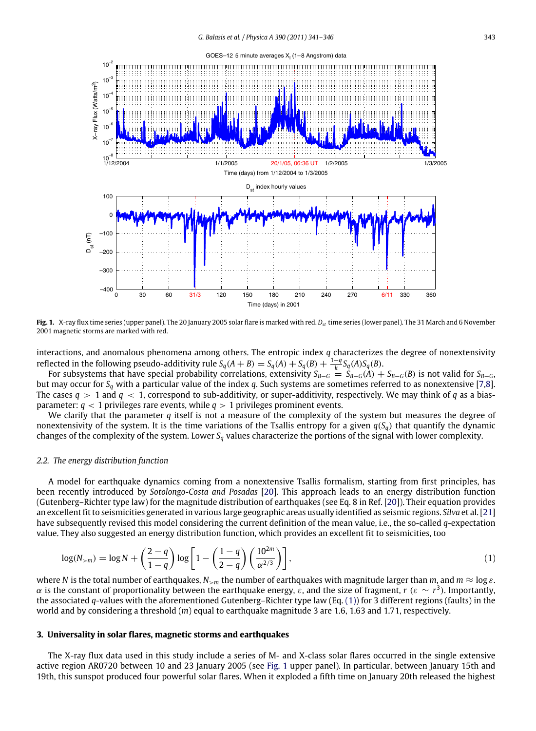<span id="page-2-1"></span>

**Fig. 1.** X-ray flux time series (upper panel). The 20 January 2005 solar flare is marked with red. *Dst* time series (lower panel). The 31 March and 6 November 2001 magnetic storms are marked with red.

interactions, and anomalous phenomena among others. The entropic index *q* characterizes the degree of nonextensivity reflected in the following pseudo-additivity rule  $S_q(A + B) = S_q(A) + S_q(B) + \frac{1-q}{k}S_q(A)S_q(B)$ .

For subsystems that have special probability correlations, extensivity  $S_{B-G} = S_{B-G}(A) + S_{B-G}(B)$  is not valid for  $S_{B-G}$ , but may occur for *S<sup>q</sup>* with a particular value of the index *q*. Such systems are sometimes referred to as nonextensive [\[7,](#page-4-2)[8\]](#page-4-7). The cases *q* > 1 and *q* < 1, correspond to sub-additivity, or super-additivity, respectively. We may think of *q* as a biasparameter: *q* < 1 privileges rare events, while *q* > 1 privileges prominent events.

We clarify that the parameter *q* itself is not a measure of the complexity of the system but measures the degree of nonextensivity of the system. It is the time variations of the Tsallis entropy for a given  $q(S_q)$  that quantify the dynamic changes of the complexity of the system. Lower *S<sup>q</sup>* values characterize the portions of the signal with lower complexity.

#### *2.2. The energy distribution function*

A model for earthquake dynamics coming from a nonextensive Tsallis formalism, starting from first principles, has been recently introduced by *Sotolongo-Costa and Posadas* [\[20\]](#page-5-7). This approach leads to an energy distribution function (Gutenberg–Richter type law) for the magnitude distribution of earthquakes (see Eq. 8 in Ref. [\[20\]](#page-5-7)). Their equation provides an excellent fit to seismicities generated in various large geographic areas usually identified as seismic regions. *Silva* et al. [\[21\]](#page-5-8) have subsequently revised this model considering the current definition of the mean value, i.e., the so-called *q*-expectation value. They also suggested an energy distribution function, which provides an excellent fit to seismicities, too

<span id="page-2-0"></span>
$$
\log(N_{>m}) = \log N + \left(\frac{2-q}{1-q}\right) \log \left[1 - \left(\frac{1-q}{2-q}\right) \left(\frac{10^{2m}}{\alpha^{2/3}}\right)\right],\tag{1}
$$

where *N* is the total number of earthquakes, *N*>*<sup>m</sup>* the number of earthquakes with magnitude larger than *m*, and *m* ≈ log ε.  $\alpha$  is the constant of proportionality between the earthquake energy,  $\varepsilon$ , and the size of fragment,  $r$  ( $\varepsilon\sim r^3$ ). Importantly, the associated *q*-values with the aforementioned Gutenberg–Richter type law (Eq. [\(1\)\)](#page-2-0) for 3 different regions (faults) in the world and by considering a threshold (*m*) equal to earthquake magnitude 3 are 1.6, 1.63 and 1.71, respectively.

#### **3. Universality in solar flares, magnetic storms and earthquakes**

The X-ray flux data used in this study include a series of M- and X-class solar flares occurred in the single extensive active region AR0720 between 10 and 23 January 2005 (see [Fig. 1](#page-2-1) upper panel). In particular, between January 15th and 19th, this sunspot produced four powerful solar flares. When it exploded a fifth time on January 20th released the highest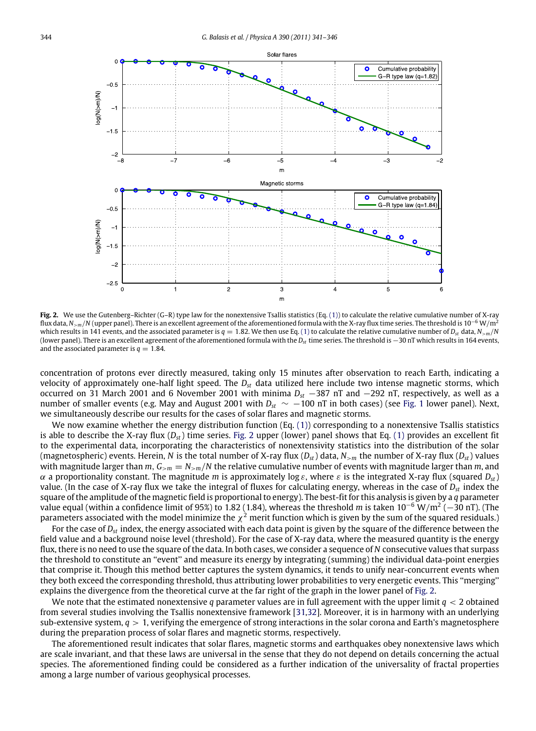<span id="page-3-0"></span>

**Fig. 2.** We use the Gutenberg–Richter (G–R) type law for the nonextensive Tsallis statistics (Eq. [\(1\)\)](#page-2-0) to calculate the relative cumulative number of X-ray flux data,  $N_{>m}/N$  (upper panel). There is an excellent agreement of the aforementioned formula with the X-ray flux time series. The threshold is 10<sup>-6</sup> W/m<sup>2</sup> which results in 141 events, and the associated parameter is  $q = 1.82$ . We then use Eq. [\(1\)](#page-2-0) to calculate the relative cumulative number of  $D_{st}$  data,  $N_{>m}/N$ (lower panel). There is an excellent agreement of the aforementioned formula with the *Dst* time series. The threshold is −30 nT which results in 164 events, and the associated parameter is  $q = 1.84$ .

concentration of protons ever directly measured, taking only 15 minutes after observation to reach Earth, indicating a velocity of approximately one-half light speed. The *Dst* data utilized here include two intense magnetic storms, which occurred on 31 March 2001 and 6 November 2001 with minima *Dst* −387 nT and −292 nT, respectively, as well as a number of smaller events (e.g. May and August 2001 with *D*<sub>st</sub> ∼ −100 nT in both cases) (see [Fig. 1](#page-2-1) lower panel). Next, we simultaneously describe our results for the cases of solar flares and magnetic storms.

We now examine whether the energy distribution function (Eq. [\(1\)\)](#page-2-0) corresponding to a nonextensive Tsallis statistics is able to describe the X-ray flux  $(D_{st})$  time series. [Fig. 2](#page-3-0) upper (lower) panel shows that Eq. [\(1\)](#page-2-0) provides an excellent fit to the experimental data, incorporating the characteristics of nonextensivity statistics into the distribution of the solar (magnetospheric) events. Herein, *N* is the total number of X-ray flux (*Dst*) data, *N*>*<sup>m</sup>* the number of X-ray flux (*Dst*) values with magnitude larger than  $m$ ,  $G_{>m} = N_{>m}/N$  the relative cumulative number of events with magnitude larger than  $m$ , and  $\alpha$  a proportionality constant. The magnitude *m* is approximately log  $\varepsilon$ , where  $\varepsilon$  is the integrated X-ray flux (squared  $D_{st}$ ) value. (In the case of X-ray flux we take the integral of fluxes for calculating energy, whereas in the case of *Dst* index the square of the amplitude of the magnetic field is proportional to energy). The best-fit for this analysis is given by a *q* parameter value equal (within a confidence limit of 95%) to 1.82 (1.84), whereas the threshold *m* is taken 10−<sup>6</sup> W/m<sup>2</sup> (−30 nT). (The parameters associated with the model minimize the  $\chi^2$  merit function which is given by the sum of the squared residuals.)

For the case of *Dst* index, the energy associated with each data point is given by the square of the difference between the field value and a background noise level (threshold). For the case of X-ray data, where the measured quantity is the energy flux, there is no need to use the square of the data. In both cases, we consider a sequence of *N* consecutive values that surpass the threshold to constitute an ''event'' and measure its energy by integrating (summing) the individual data-point energies that comprise it. Though this method better captures the system dynamics, it tends to unify near-concurrent events when they both exceed the corresponding threshold, thus attributing lower probabilities to very energetic events. This ''merging'' explains the divergence from the theoretical curve at the far right of the graph in the lower panel of [Fig. 2.](#page-3-0)

We note that the estimated nonextensive *q* parameter values are in full agreement with the upper limit *q* < 2 obtained from several studies involving the Tsallis nonextensive framework [\[31](#page-5-15)[,32\]](#page-5-16). Moreover, it is in harmony with an underlying sub-extensive system, *q* > 1, verifying the emergence of strong interactions in the solar corona and Earth's magnetosphere during the preparation process of solar flares and magnetic storms, respectively.

The aforementioned result indicates that solar flares, magnetic storms and earthquakes obey nonextensive laws which are scale invariant, and that these laws are universal in the sense that they do not depend on details concerning the actual species. The aforementioned finding could be considered as a further indication of the universality of fractal properties among a large number of various geophysical processes.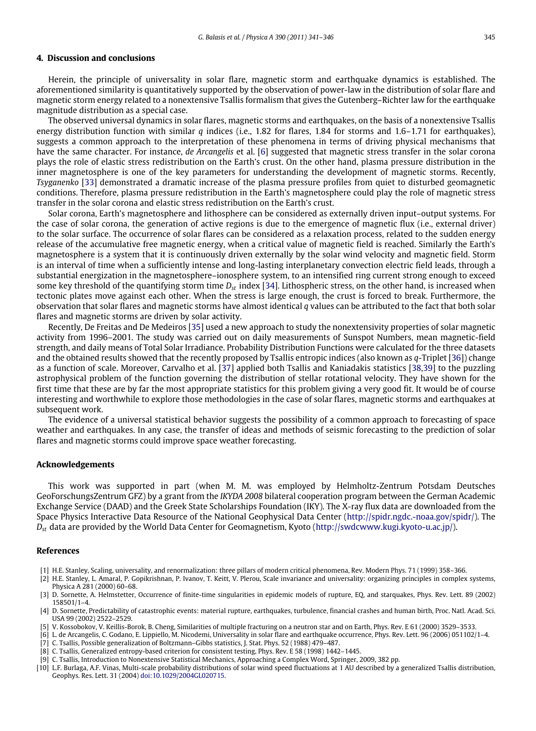#### **4. Discussion and conclusions**

Herein, the principle of universality in solar flare, magnetic storm and earthquake dynamics is established. The aforementioned similarity is quantitatively supported by the observation of power-law in the distribution of solar flare and magnetic storm energy related to a nonextensive Tsallis formalism that gives the Gutenberg–Richter law for the earthquake magnitude distribution as a special case.

The observed universal dynamics in solar flares, magnetic storms and earthquakes, on the basis of a nonextensive Tsallis energy distribution function with similar *q* indices (i.e., 1.82 for flares, 1.84 for storms and 1.6–1.71 for earthquakes), suggests a common approach to the interpretation of these phenomena in terms of driving physical mechanisms that have the same character. For instance, *de Arcangelis* et al. [\[6\]](#page-4-1) suggested that magnetic stress transfer in the solar corona plays the role of elastic stress redistribution on the Earth's crust. On the other hand, plasma pressure distribution in the inner magnetosphere is one of the key parameters for understanding the development of magnetic storms. Recently, *Tsyganenko* [\[33\]](#page-5-17) demonstrated a dramatic increase of the plasma pressure profiles from quiet to disturbed geomagnetic conditions. Therefore, plasma pressure redistribution in the Earth's magnetosphere could play the role of magnetic stress transfer in the solar corona and elastic stress redistribution on the Earth's crust.

Solar corona, Earth's magnetosphere and lithosphere can be considered as externally driven input–output systems. For the case of solar corona, the generation of active regions is due to the emergence of magnetic flux (i.e., external driver) to the solar surface. The occurrence of solar flares can be considered as a relaxation process, related to the sudden energy release of the accumulative free magnetic energy, when a critical value of magnetic field is reached. Similarly the Earth's magnetosphere is a system that it is continuously driven externally by the solar wind velocity and magnetic field. Storm is an interval of time when a sufficiently intense and long-lasting interplanetary convection electric field leads, through a substantial energization in the magnetosphere–ionosphere system, to an intensified ring current strong enough to exceed some key threshold of the quantifying storm time *Dst* index [\[34\]](#page-5-18). Lithospheric stress, on the other hand, is increased when tectonic plates move against each other. When the stress is large enough, the crust is forced to break. Furthermore, the observation that solar flares and magnetic storms have almost identical *q* values can be attributed to the fact that both solar flares and magnetic storms are driven by solar activity.

Recently, De Freitas and De Medeiros [\[35\]](#page-5-19) used a new approach to study the nonextensivity properties of solar magnetic activity from 1996–2001. The study was carried out on daily measurements of Sunspot Numbers, mean magnetic-field strength, and daily means of Total Solar Irradiance. Probability Distribution Functions were calculated for the three datasets and the obtained results showed that the recently proposed by Tsallis entropic indices (also known as *q*-Triplet [\[36\]](#page-5-20)) change as a function of scale. Moreover, Carvalho et al. [\[37\]](#page-5-21) applied both Tsallis and Kaniadakis statistics [\[38,](#page-5-22)[39\]](#page-5-23) to the puzzling astrophysical problem of the function governing the distribution of stellar rotational velocity. They have shown for the first time that these are by far the most appropriate statistics for this problem giving a very good fit. It would be of course interesting and worthwhile to explore those methodologies in the case of solar flares, magnetic storms and earthquakes at subsequent work.

The evidence of a universal statistical behavior suggests the possibility of a common approach to forecasting of space weather and earthquakes. In any case, the transfer of ideas and methods of seismic forecasting to the prediction of solar flares and magnetic storms could improve space weather forecasting.

#### **Acknowledgements**

This work was supported in part (when M. M. was employed by Helmholtz-Zentrum Potsdam Deutsches GeoForschungsZentrum GFZ) by a grant from the *IKYDA 2008* bilateral cooperation program between the German Academic Exchange Service (DAAD) and the Greek State Scholarships Foundation (IKY). The X-ray flux data are downloaded from the Space Physics Interactive Data Resource of the National Geophysical Data Center [\(http://spidr.ngdc.-noaa.gov/spidr/\)](http://spidr.ngdc.-noaa.gov/spidr/). The *Dst* data are provided by the World Data Center for Geomagnetism, Kyoto [\(http://swdcwww.kugi.kyoto-u.ac.jp/\)](http://swdcwww.kugi.kyoto-u.ac.jp/).

#### **References**

- <span id="page-4-0"></span>[1] H.E. Stanley, Scaling, universality, and renormalization: three pillars of modern critical phenomena, Rev. Modern Phys. 71 (1999) 358–366.
- [2] H.E. Stanley, L. Amaral, P. Gopikrishnan, P. Ivanov, T. Keitt, V. Plerou, Scale invariance and universality: organizing principles in complex systems, Physica A 281 (2000) 60–68.
- <span id="page-4-5"></span>[3] D. Sornette, A. Helmstetter, Occurrence of finite-time singularities in epidemic models of rupture, EQ, and starquakes, Phys. Rev. Lett. 89 (2002) 158501/1–4.
- [4] D. Sornette, Predictability of catastrophic events: material rupture, earthquakes, turbulence, financial crashes and human birth, Proc. Natl. Acad. Sci. USA 99 (2002) 2522–2529.
- <span id="page-4-4"></span>[5] V. Kossobokov, V. Keillis-Borok, B. Cheng, Similarities of multiple fracturing on a neutron star and on Earth, Phys. Rev. E 61 (2000) 3529–3533.
- <span id="page-4-1"></span>[6] L. de Arcangelis, C. Godano, E. Lippiello, M. Nicodemi, Universality in solar flare and earthquake occurrence, Phys. Rev. Lett. 96 (2006) 051102/1–4.
- <span id="page-4-2"></span>[7] C. Tsallis, Possible generalization of Boltzmann–Gibbs statistics, J. Stat. Phys. 52 (1988) 479–487.
- <span id="page-4-7"></span>[8] C. Tsallis, Generalized entropy-based criterion for consistent testing, Phys. Rev. E 58 (1998) 1442–1445.
- <span id="page-4-6"></span>[9] C. Tsallis, Introduction to Nonextensive Statistical Mechanics, Approaching a Complex Word, Springer, 2009, 382 pp.
- <span id="page-4-3"></span>[10] L.F. Burlaga, A.F. Vinas, Multi-scale probability distributions of solar wind speed fluctuations at 1 AU described by a generalized Tsallis distribution, Geophys. Res. Lett. 31 (2004) [doi:10.1029/2004GL020715.](http://dx.doi.org/doi:10.1029/2004GL020715)